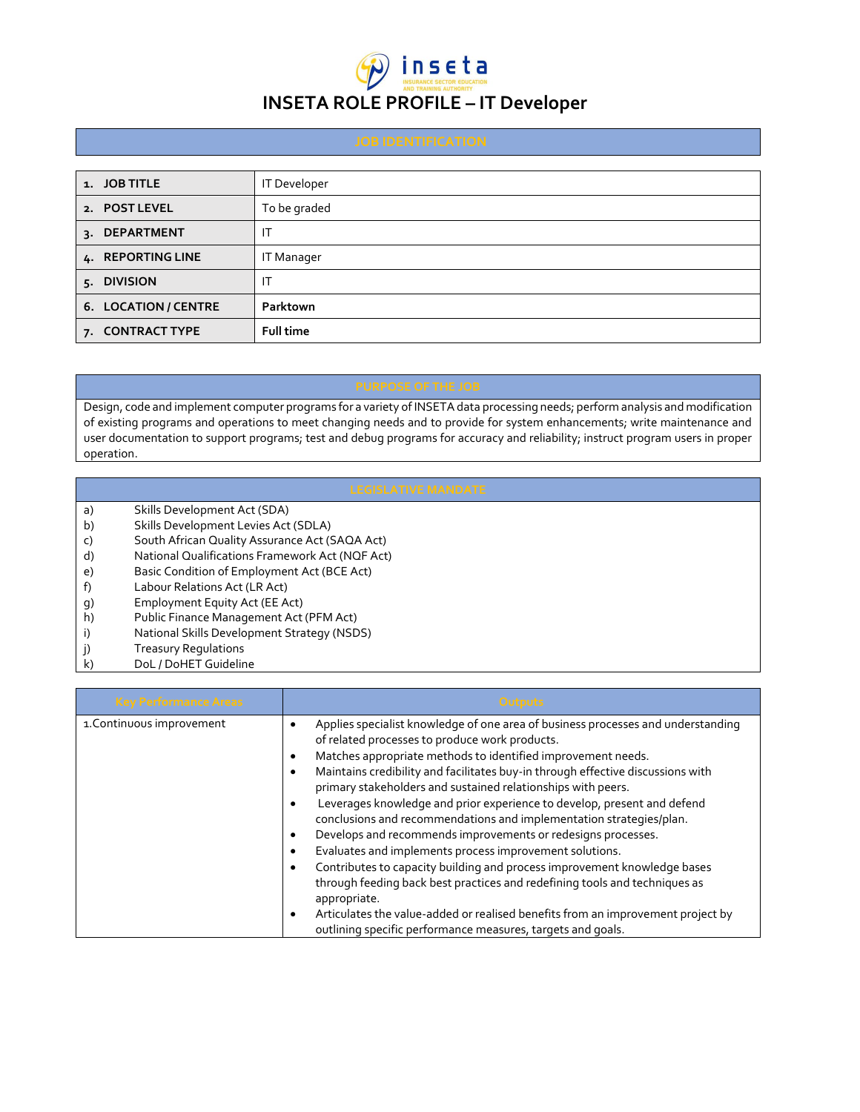## $\widehat{\bm{\mu}}$  inseta **INSETA ROLE PROFILE – IT Developer**

| 1. JOB TITLE         | IT Developer      |
|----------------------|-------------------|
| 2. POST LEVEL        | To be graded      |
| 3. DEPARTMENT        | IT                |
| 4. REPORTING LINE    | <b>IT Manager</b> |
| 5. DIVISION          | ΙT                |
| 6. LOCATION / CENTRE | Parktown          |
| 7. CONTRACT TYPE     | <b>Full time</b>  |

Design, code and implement computer programs for a variety of INSETA data processing needs; perform analysis and modification of existing programs and operations to meet changing needs and to provide for system enhancements; write maintenance and user documentation to support programs; test and debug programs for accuracy and reliability; instruct program users in proper operation.

- a) Skills Development Act (SDA)
- b) Skills Development Levies Act (SDLA)
- c) South African Quality Assurance Act (SAQA Act)
- d) National Qualifications Framework Act (NQF Act)
- e) Basic Condition of Employment Act (BCE Act)<br>f) Labour Relations Act (LR Act)
- Labour Relations Act (LR Act)
- g) Employment Equity Act (EE Act)
- h) Public Finance Management Act (PFM Act)
- i) National Skills Development Strategy (NSDS)
- j) Treasury Regulations
- k) DoL / DoHET Guideline

| <b>Key Performance Areas</b> | Outputs                                                                                                                                                                                                                                                                                                                                                                                                                                                                                                                                                                                                                                                                                                                                                                                                                                                                                                                                                        |
|------------------------------|----------------------------------------------------------------------------------------------------------------------------------------------------------------------------------------------------------------------------------------------------------------------------------------------------------------------------------------------------------------------------------------------------------------------------------------------------------------------------------------------------------------------------------------------------------------------------------------------------------------------------------------------------------------------------------------------------------------------------------------------------------------------------------------------------------------------------------------------------------------------------------------------------------------------------------------------------------------|
| 1. Continuous improvement    | Applies specialist knowledge of one area of business processes and understanding<br>of related processes to produce work products.<br>Matches appropriate methods to identified improvement needs.<br>Maintains credibility and facilitates buy-in through effective discussions with<br>primary stakeholders and sustained relationships with peers.<br>Leverages knowledge and prior experience to develop, present and defend<br>conclusions and recommendations and implementation strategies/plan.<br>Develops and recommends improvements or redesigns processes.<br>Evaluates and implements process improvement solutions.<br>Contributes to capacity building and process improvement knowledge bases<br>through feeding back best practices and redefining tools and techniques as<br>appropriate.<br>Articulates the value-added or realised benefits from an improvement project by<br>outlining specific performance measures, targets and goals. |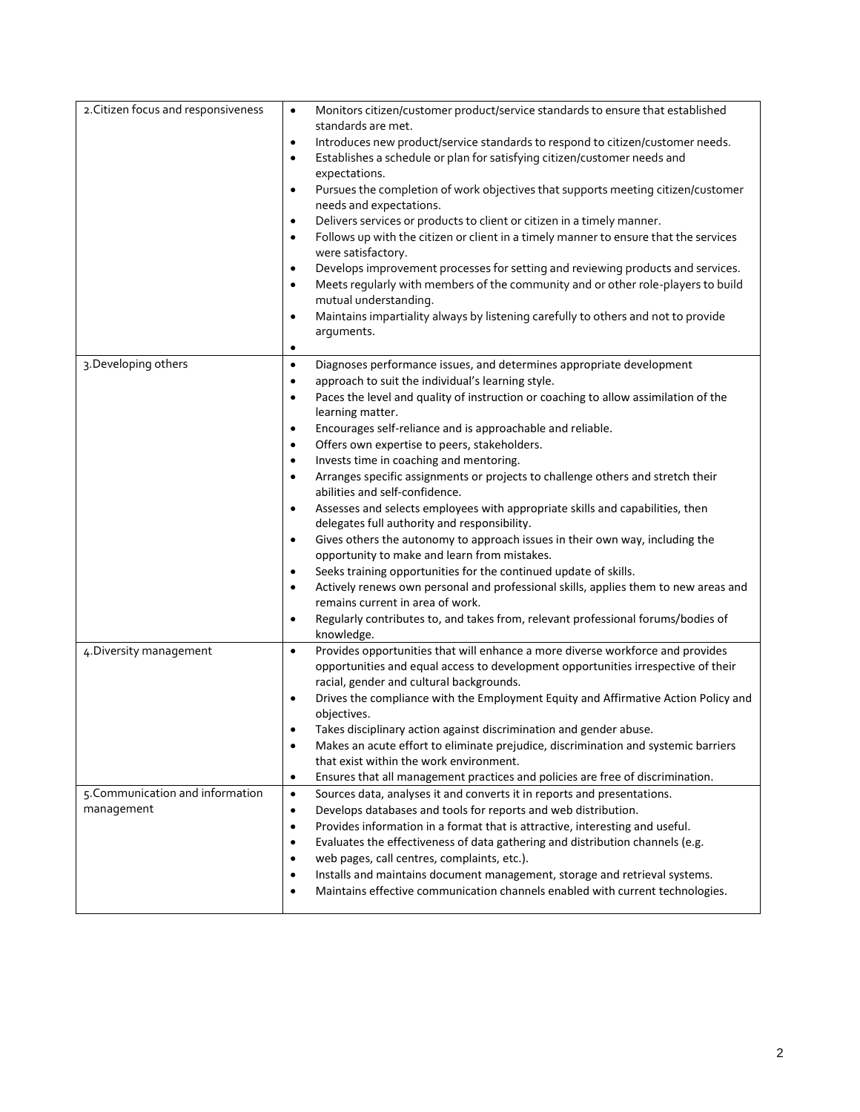| 2. Citizen focus and responsiveness            | Monitors citizen/customer product/service standards to ensure that established<br>$\bullet$<br>standards are met.<br>Introduces new product/service standards to respond to citizen/customer needs.<br>$\bullet$<br>Establishes a schedule or plan for satisfying citizen/customer needs and<br>$\bullet$<br>expectations.<br>Pursues the completion of work objectives that supports meeting citizen/customer<br>$\bullet$<br>needs and expectations.<br>Delivers services or products to client or citizen in a timely manner.<br>$\bullet$<br>Follows up with the citizen or client in a timely manner to ensure that the services<br>$\bullet$<br>were satisfactory.<br>Develops improvement processes for setting and reviewing products and services.<br>$\bullet$<br>Meets regularly with members of the community and or other role-players to build<br>$\bullet$<br>mutual understanding.<br>Maintains impartiality always by listening carefully to others and not to provide<br>$\bullet$<br>arguments.<br>$\bullet$ |
|------------------------------------------------|---------------------------------------------------------------------------------------------------------------------------------------------------------------------------------------------------------------------------------------------------------------------------------------------------------------------------------------------------------------------------------------------------------------------------------------------------------------------------------------------------------------------------------------------------------------------------------------------------------------------------------------------------------------------------------------------------------------------------------------------------------------------------------------------------------------------------------------------------------------------------------------------------------------------------------------------------------------------------------------------------------------------------------|
| 3. Developing others                           | Diagnoses performance issues, and determines appropriate development<br>$\bullet$                                                                                                                                                                                                                                                                                                                                                                                                                                                                                                                                                                                                                                                                                                                                                                                                                                                                                                                                               |
|                                                | approach to suit the individual's learning style.<br>$\bullet$                                                                                                                                                                                                                                                                                                                                                                                                                                                                                                                                                                                                                                                                                                                                                                                                                                                                                                                                                                  |
|                                                | Paces the level and quality of instruction or coaching to allow assimilation of the<br>$\bullet$                                                                                                                                                                                                                                                                                                                                                                                                                                                                                                                                                                                                                                                                                                                                                                                                                                                                                                                                |
|                                                | learning matter.                                                                                                                                                                                                                                                                                                                                                                                                                                                                                                                                                                                                                                                                                                                                                                                                                                                                                                                                                                                                                |
|                                                | Encourages self-reliance and is approachable and reliable.<br>$\bullet$<br>Offers own expertise to peers, stakeholders.<br>$\bullet$                                                                                                                                                                                                                                                                                                                                                                                                                                                                                                                                                                                                                                                                                                                                                                                                                                                                                            |
|                                                | Invests time in coaching and mentoring.<br>$\bullet$                                                                                                                                                                                                                                                                                                                                                                                                                                                                                                                                                                                                                                                                                                                                                                                                                                                                                                                                                                            |
|                                                | Arranges specific assignments or projects to challenge others and stretch their<br>$\bullet$                                                                                                                                                                                                                                                                                                                                                                                                                                                                                                                                                                                                                                                                                                                                                                                                                                                                                                                                    |
|                                                | abilities and self-confidence.                                                                                                                                                                                                                                                                                                                                                                                                                                                                                                                                                                                                                                                                                                                                                                                                                                                                                                                                                                                                  |
|                                                | Assesses and selects employees with appropriate skills and capabilities, then<br>$\bullet$<br>delegates full authority and responsibility.                                                                                                                                                                                                                                                                                                                                                                                                                                                                                                                                                                                                                                                                                                                                                                                                                                                                                      |
|                                                | Gives others the autonomy to approach issues in their own way, including the<br>$\bullet$                                                                                                                                                                                                                                                                                                                                                                                                                                                                                                                                                                                                                                                                                                                                                                                                                                                                                                                                       |
|                                                | opportunity to make and learn from mistakes.                                                                                                                                                                                                                                                                                                                                                                                                                                                                                                                                                                                                                                                                                                                                                                                                                                                                                                                                                                                    |
|                                                | Seeks training opportunities for the continued update of skills.<br>$\bullet$                                                                                                                                                                                                                                                                                                                                                                                                                                                                                                                                                                                                                                                                                                                                                                                                                                                                                                                                                   |
|                                                | Actively renews own personal and professional skills, applies them to new areas and<br>$\bullet$<br>remains current in area of work.                                                                                                                                                                                                                                                                                                                                                                                                                                                                                                                                                                                                                                                                                                                                                                                                                                                                                            |
|                                                | Regularly contributes to, and takes from, relevant professional forums/bodies of<br>$\bullet$<br>knowledge.                                                                                                                                                                                                                                                                                                                                                                                                                                                                                                                                                                                                                                                                                                                                                                                                                                                                                                                     |
| 4. Diversity management                        | Provides opportunities that will enhance a more diverse workforce and provides<br>$\bullet$                                                                                                                                                                                                                                                                                                                                                                                                                                                                                                                                                                                                                                                                                                                                                                                                                                                                                                                                     |
|                                                | opportunities and equal access to development opportunities irrespective of their                                                                                                                                                                                                                                                                                                                                                                                                                                                                                                                                                                                                                                                                                                                                                                                                                                                                                                                                               |
|                                                | racial, gender and cultural backgrounds.<br>Drives the compliance with the Employment Equity and Affirmative Action Policy and                                                                                                                                                                                                                                                                                                                                                                                                                                                                                                                                                                                                                                                                                                                                                                                                                                                                                                  |
|                                                | objectives.                                                                                                                                                                                                                                                                                                                                                                                                                                                                                                                                                                                                                                                                                                                                                                                                                                                                                                                                                                                                                     |
|                                                | Takes disciplinary action against discrimination and gender abuse                                                                                                                                                                                                                                                                                                                                                                                                                                                                                                                                                                                                                                                                                                                                                                                                                                                                                                                                                               |
|                                                | Makes an acute effort to eliminate prejudice, discrimination and systemic barriers<br>٠                                                                                                                                                                                                                                                                                                                                                                                                                                                                                                                                                                                                                                                                                                                                                                                                                                                                                                                                         |
|                                                | that exist within the work environment.                                                                                                                                                                                                                                                                                                                                                                                                                                                                                                                                                                                                                                                                                                                                                                                                                                                                                                                                                                                         |
|                                                | Ensures that all management practices and policies are free of discrimination.<br>٠                                                                                                                                                                                                                                                                                                                                                                                                                                                                                                                                                                                                                                                                                                                                                                                                                                                                                                                                             |
| 5. Communication and information<br>management | Sources data, analyses it and converts it in reports and presentations.<br>$\bullet$<br>Develops databases and tools for reports and web distribution.<br>$\bullet$                                                                                                                                                                                                                                                                                                                                                                                                                                                                                                                                                                                                                                                                                                                                                                                                                                                             |
|                                                | Provides information in a format that is attractive, interesting and useful.<br>$\bullet$                                                                                                                                                                                                                                                                                                                                                                                                                                                                                                                                                                                                                                                                                                                                                                                                                                                                                                                                       |
|                                                | Evaluates the effectiveness of data gathering and distribution channels (e.g.                                                                                                                                                                                                                                                                                                                                                                                                                                                                                                                                                                                                                                                                                                                                                                                                                                                                                                                                                   |
|                                                | web pages, call centres, complaints, etc.).<br>٠                                                                                                                                                                                                                                                                                                                                                                                                                                                                                                                                                                                                                                                                                                                                                                                                                                                                                                                                                                                |
|                                                | Installs and maintains document management, storage and retrieval systems.<br>٠                                                                                                                                                                                                                                                                                                                                                                                                                                                                                                                                                                                                                                                                                                                                                                                                                                                                                                                                                 |
|                                                | Maintains effective communication channels enabled with current technologies.<br>٠                                                                                                                                                                                                                                                                                                                                                                                                                                                                                                                                                                                                                                                                                                                                                                                                                                                                                                                                              |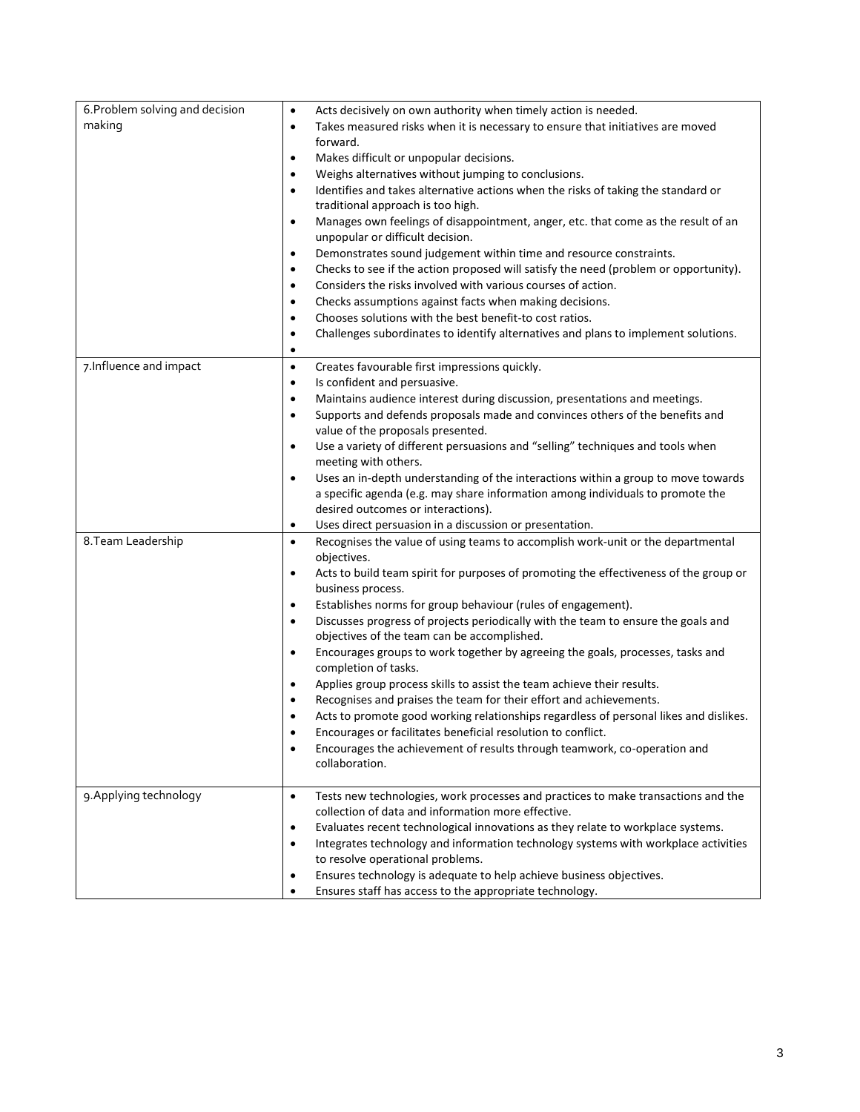| 6. Problem solving and decision | Acts decisively on own authority when timely action is needed.<br>$\bullet$                       |
|---------------------------------|---------------------------------------------------------------------------------------------------|
| making                          | Takes measured risks when it is necessary to ensure that initiatives are moved<br>$\bullet$       |
|                                 | forward.                                                                                          |
|                                 | Makes difficult or unpopular decisions.<br>$\bullet$                                              |
|                                 | Weighs alternatives without jumping to conclusions.<br>$\bullet$                                  |
|                                 | Identifies and takes alternative actions when the risks of taking the standard or<br>$\bullet$    |
|                                 | traditional approach is too high.                                                                 |
|                                 | Manages own feelings of disappointment, anger, etc. that come as the result of an<br>$\bullet$    |
|                                 | unpopular or difficult decision.                                                                  |
|                                 | Demonstrates sound judgement within time and resource constraints.<br>٠                           |
|                                 | Checks to see if the action proposed will satisfy the need (problem or opportunity).<br>$\bullet$ |
|                                 | Considers the risks involved with various courses of action.<br>$\bullet$                         |
|                                 | Checks assumptions against facts when making decisions.<br>$\bullet$                              |
|                                 | Chooses solutions with the best benefit-to cost ratios.<br>$\bullet$                              |
|                                 | Challenges subordinates to identify alternatives and plans to implement solutions.<br>$\bullet$   |
|                                 | $\bullet$                                                                                         |
| 7. Influence and impact         | Creates favourable first impressions quickly.<br>$\bullet$                                        |
|                                 | Is confident and persuasive.<br>$\bullet$                                                         |
|                                 | Maintains audience interest during discussion, presentations and meetings.<br>$\bullet$           |
|                                 | Supports and defends proposals made and convinces others of the benefits and<br>$\bullet$         |
|                                 | value of the proposals presented.                                                                 |
|                                 | Use a variety of different persuasions and "selling" techniques and tools when<br>$\bullet$       |
|                                 | meeting with others.                                                                              |
|                                 | Uses an in-depth understanding of the interactions within a group to move towards<br>$\bullet$    |
|                                 | a specific agenda (e.g. may share information among individuals to promote the                    |
|                                 | desired outcomes or interactions).                                                                |
|                                 | Uses direct persuasion in a discussion or presentation.<br>٠                                      |
| 8. Team Leadership              | Recognises the value of using teams to accomplish work-unit or the departmental<br>$\bullet$      |
|                                 | objectives.                                                                                       |
|                                 | Acts to build team spirit for purposes of promoting the effectiveness of the group or<br>٠        |
|                                 | business process.                                                                                 |
|                                 | Establishes norms for group behaviour (rules of engagement).<br>$\bullet$                         |
|                                 | Discusses progress of projects periodically with the team to ensure the goals and<br>$\bullet$    |
|                                 | objectives of the team can be accomplished.                                                       |
|                                 | Encourages groups to work together by agreeing the goals, processes, tasks and<br>$\bullet$       |
|                                 | completion of tasks.                                                                              |
|                                 | Applies group process skills to assist the team achieve their results.<br>٠                       |
|                                 | Recognises and praises the team for their effort and achievements.                                |
|                                 | Acts to promote good working relationships regardless of personal likes and dislikes.             |
|                                 | Encourages or facilitates beneficial resolution to conflict.                                      |
|                                 | Encourages the achievement of results through teamwork, co-operation and<br>$\bullet$             |
|                                 | collaboration.                                                                                    |
|                                 |                                                                                                   |
| 9. Applying technology          | Tests new technologies, work processes and practices to make transactions and the<br>$\bullet$    |
|                                 | collection of data and information more effective.                                                |
|                                 | Evaluates recent technological innovations as they relate to workplace systems.<br>$\bullet$      |
|                                 | Integrates technology and information technology systems with workplace activities<br>٠           |
|                                 | to resolve operational problems.                                                                  |
|                                 | Ensures technology is adequate to help achieve business objectives.                               |
|                                 | Ensures staff has access to the appropriate technology.                                           |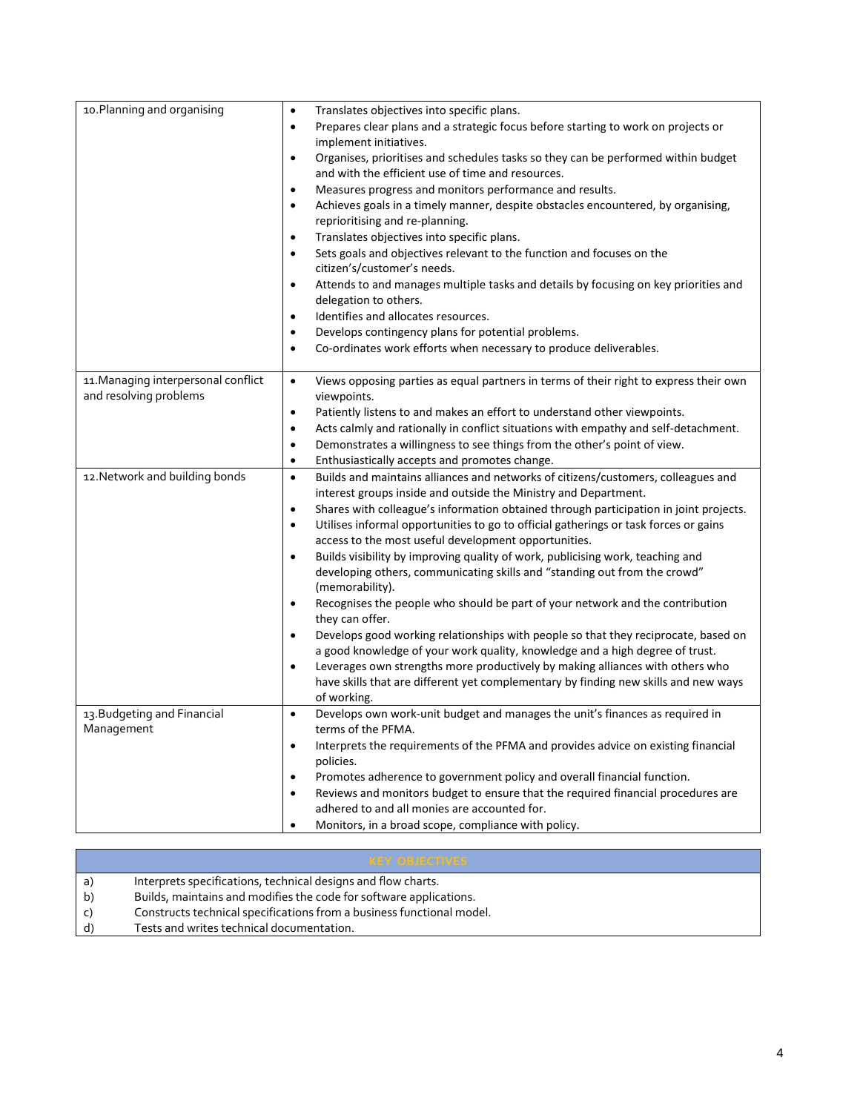| 10. Planning and organising         | Translates objectives into specific plans.<br>$\bullet$<br>Prepares clear plans and a strategic focus before starting to work on projects or<br>$\bullet$                                               |
|-------------------------------------|---------------------------------------------------------------------------------------------------------------------------------------------------------------------------------------------------------|
|                                     | implement initiatives.                                                                                                                                                                                  |
|                                     | Organises, prioritises and schedules tasks so they can be performed within budget<br>$\bullet$                                                                                                          |
|                                     | and with the efficient use of time and resources.                                                                                                                                                       |
|                                     | Measures progress and monitors performance and results.<br>$\bullet$                                                                                                                                    |
|                                     | Achieves goals in a timely manner, despite obstacles encountered, by organising,<br>$\bullet$                                                                                                           |
|                                     | reprioritising and re-planning.                                                                                                                                                                         |
|                                     | Translates objectives into specific plans.<br>$\bullet$                                                                                                                                                 |
|                                     | Sets goals and objectives relevant to the function and focuses on the<br>$\bullet$                                                                                                                      |
|                                     | citizen's/customer's needs.                                                                                                                                                                             |
|                                     | Attends to and manages multiple tasks and details by focusing on key priorities and<br>$\bullet$                                                                                                        |
|                                     | delegation to others.                                                                                                                                                                                   |
|                                     | Identifies and allocates resources.                                                                                                                                                                     |
|                                     | Develops contingency plans for potential problems.<br>$\bullet$                                                                                                                                         |
|                                     | Co-ordinates work efforts when necessary to produce deliverables.<br>$\bullet$                                                                                                                          |
|                                     |                                                                                                                                                                                                         |
| 11. Managing interpersonal conflict | $\bullet$<br>Views opposing parties as equal partners in terms of their right to express their own                                                                                                      |
| and resolving problems              | viewpoints.                                                                                                                                                                                             |
|                                     | Patiently listens to and makes an effort to understand other viewpoints.<br>$\bullet$                                                                                                                   |
|                                     | Acts calmly and rationally in conflict situations with empathy and self-detachment.<br>$\bullet$                                                                                                        |
|                                     | Demonstrates a willingness to see things from the other's point of view.<br>$\bullet$                                                                                                                   |
|                                     | Enthusiastically accepts and promotes change.<br>$\bullet$                                                                                                                                              |
| 12. Network and building bonds      | $\bullet$<br>Builds and maintains alliances and networks of citizens/customers, colleagues and                                                                                                          |
|                                     | interest groups inside and outside the Ministry and Department.                                                                                                                                         |
|                                     | Shares with colleague's information obtained through participation in joint projects.<br>$\bullet$<br>Utilises informal opportunities to go to official gatherings or task forces or gains<br>$\bullet$ |
|                                     | access to the most useful development opportunities.                                                                                                                                                    |
|                                     | Builds visibility by improving quality of work, publicising work, teaching and<br>$\bullet$                                                                                                             |
|                                     | developing others, communicating skills and "standing out from the crowd"                                                                                                                               |
|                                     | (memorability).                                                                                                                                                                                         |
|                                     | Recognises the people who should be part of your network and the contribution<br>$\bullet$                                                                                                              |
|                                     | they can offer.                                                                                                                                                                                         |
|                                     | Develops good working relationships with people so that they reciprocate, based on                                                                                                                      |
|                                     | a good knowledge of your work quality, knowledge and a high degree of trust.                                                                                                                            |
|                                     | Leverages own strengths more productively by making alliances with others who<br>$\bullet$                                                                                                              |
|                                     | have skills that are different yet complementary by finding new skills and new ways                                                                                                                     |
|                                     | of working.                                                                                                                                                                                             |
| 13. Budgeting and Financial         | Develops own work-unit budget and manages the unit's finances as required in<br>$\bullet$                                                                                                               |
| Management                          | terms of the PFMA.                                                                                                                                                                                      |
|                                     | Interprets the requirements of the PFMA and provides advice on existing financial<br>$\bullet$                                                                                                          |
|                                     | policies.                                                                                                                                                                                               |
|                                     | Promotes adherence to government policy and overall financial function.<br>$\bullet$                                                                                                                    |
|                                     | Reviews and monitors budget to ensure that the required financial procedures are<br>$\bullet$<br>adhered to and all monies are accounted for.                                                           |
|                                     | Monitors, in a broad scope, compliance with policy.<br>$\bullet$                                                                                                                                        |

|    | <b>KEY OBJECTIVES</b>                                                 |
|----|-----------------------------------------------------------------------|
| a) | Interprets specifications, technical designs and flow charts.         |
| b) | Builds, maintains and modifies the code for software applications.    |
|    | Constructs technical specifications from a business functional model. |
|    | Tests and writes technical documentation.                             |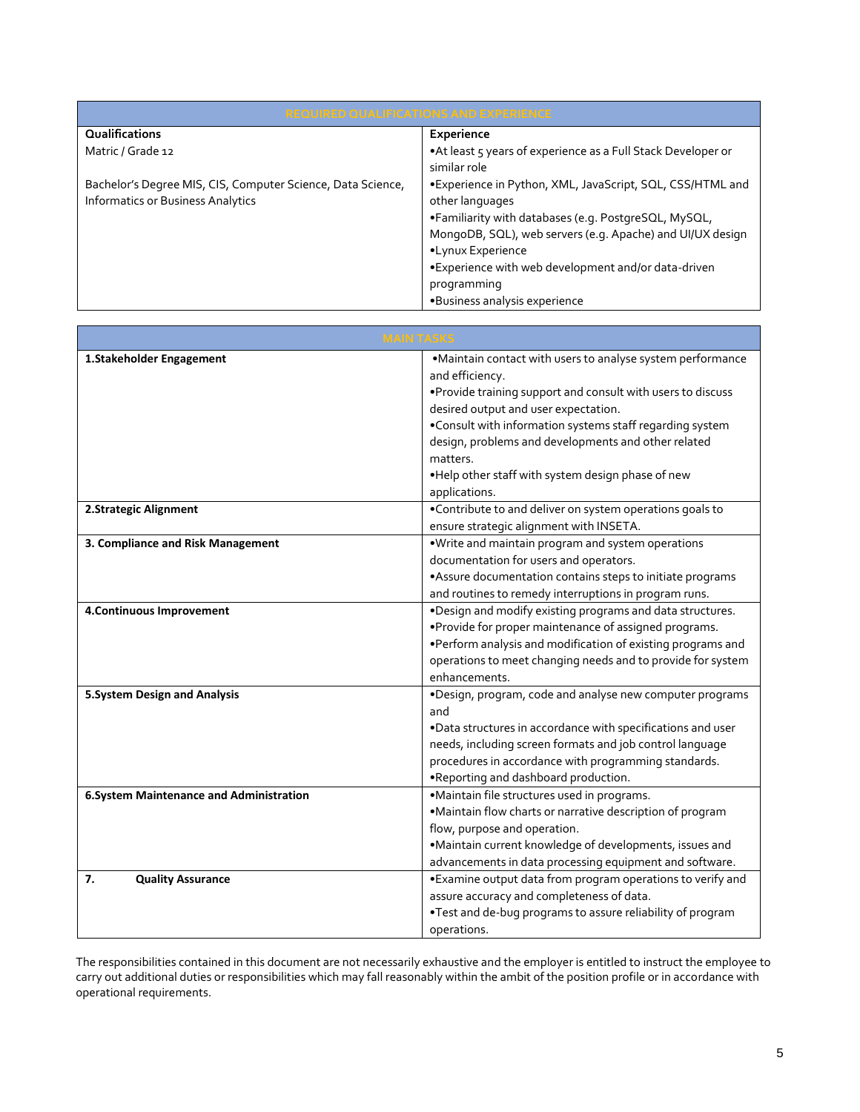| <b>REQUIRED QUALIFICATIONS AND EXPERIENCE</b>                                                           |                                                                              |  |
|---------------------------------------------------------------------------------------------------------|------------------------------------------------------------------------------|--|
| Qualifications                                                                                          | Experience                                                                   |  |
| Matric / Grade 12                                                                                       | •At least 5 years of experience as a Full Stack Developer or<br>similar role |  |
| Bachelor's Degree MIS, CIS, Computer Science, Data Science,<br><b>Informatics or Business Analytics</b> | •Experience in Python, XML, JavaScript, SQL, CSS/HTML and<br>other languages |  |
|                                                                                                         | •Familiarity with databases (e.g. PostgreSQL, MySQL,                         |  |
|                                                                                                         | MongoDB, SQL), web servers (e.g. Apache) and UI/UX design                    |  |
|                                                                                                         | •Lynux Experience                                                            |  |
|                                                                                                         | • Experience with web development and/or data-driven                         |  |
|                                                                                                         | programming                                                                  |  |
|                                                                                                         | •Business analysis experience                                                |  |

| <b>MAIN TASKS</b>                       |                                                                                                                                                                                                                                                                                                                                                                                              |
|-----------------------------------------|----------------------------------------------------------------------------------------------------------------------------------------------------------------------------------------------------------------------------------------------------------------------------------------------------------------------------------------------------------------------------------------------|
| 1.Stakeholder Engagement                | ·Maintain contact with users to analyse system performance<br>and efficiency.<br>. Provide training support and consult with users to discuss<br>desired output and user expectation.<br>. Consult with information systems staff regarding system<br>design, problems and developments and other related<br>matters.<br>. Help other staff with system design phase of new<br>applications. |
| 2.Strategic Alignment                   | •Contribute to and deliver on system operations goals to<br>ensure strategic alignment with INSETA.                                                                                                                                                                                                                                                                                          |
| 3. Compliance and Risk Management       | . Write and maintain program and system operations<br>documentation for users and operators.<br>•Assure documentation contains steps to initiate programs<br>and routines to remedy interruptions in program runs.                                                                                                                                                                           |
| 4. Continuous Improvement               | .Design and modify existing programs and data structures.<br>•Provide for proper maintenance of assigned programs.<br>. Perform analysis and modification of existing programs and<br>operations to meet changing needs and to provide for system<br>enhancements.                                                                                                                           |
| <b>5. System Design and Analysis</b>    | .Design, program, code and analyse new computer programs<br>and<br>.Data structures in accordance with specifications and user<br>needs, including screen formats and job control language<br>procedures in accordance with programming standards.<br>. Reporting and dashboard production.                                                                                                  |
| 6.System Maintenance and Administration | ·Maintain file structures used in programs.<br>•Maintain flow charts or narrative description of program<br>flow, purpose and operation.<br>·Maintain current knowledge of developments, issues and<br>advancements in data processing equipment and software.                                                                                                                               |
| 7.<br><b>Quality Assurance</b>          | • Examine output data from program operations to verify and<br>assure accuracy and completeness of data.<br>. Test and de-bug programs to assure reliability of program<br>operations.                                                                                                                                                                                                       |

The responsibilities contained in this document are not necessarily exhaustive and the employer is entitled to instruct the employee to carry out additional duties or responsibilities which may fall reasonably within the ambit of the position profile or in accordance with operational requirements.